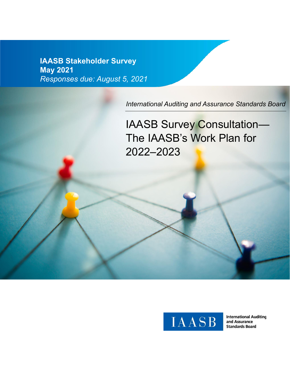**IAASB Stakeholder Survey May 2021** *Responses due: August 5, 2021*

*International Auditing and Assurance Standards Board*

IAASB Survey Consultation— The IAASB's Work Plan for 2022‒2023



**International Auditing** and Assurance **Standards Board**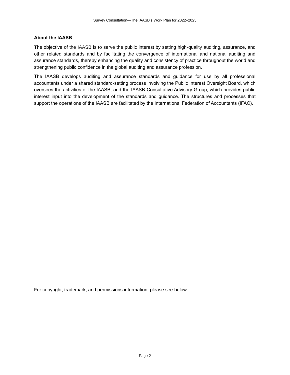## **About the IAASB**

The objective of the IAASB is to serve the public interest by setting high-quality auditing, assurance, and other related standards and by facilitating the convergence of international and national auditing and assurance standards, thereby enhancing the quality and consistency of practice throughout the world and strengthening public confidence in the global auditing and assurance profession.

The IAASB develops auditing and assurance standards and guidance for use by all professional accountants under a shared standard-setting process involving the Public Interest Oversight Board, which oversees the activities of the IAASB, and the IAASB Consultative Advisory Group, which provides public interest input into the development of the standards and guidance. The structures and processes that support the operations of the IAASB are facilitated by the International Federation of Accountants (IFAC).

For copyright, trademark, and permissions information, please see below.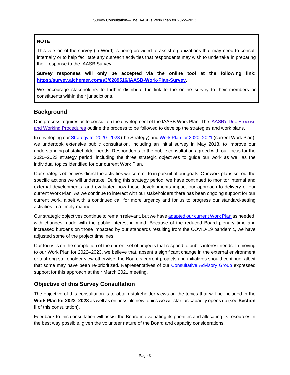# **NOTE**

This version of the survey (in Word) is being provided to assist organizations that may need to consult internally or to help facilitate any outreach activities that respondents may wish to undertake in preparing their response to the IAASB Survey.

**Survey responses will only be accepted via the online tool at the following link: [https://survey.alchemer.com/s3/6289516/IAASB-Work-Plan-Survey.](https://survey.alchemer.com/s3/6289516/IAASB-Work-Plan-Survey)** 

We encourage stakeholders to further distribute the link to the online survey to their members or constituents within their jurisdictions.

# **Background**

Due process requires us to consult on the development of the IAASB Work Plan. The [IAASB's Due Process](https://www.iaasb.org/system/files/uploads/PIAC-Due_Process_and_Working_Procedures.pdf)  [and Working Procedures](https://www.iaasb.org/system/files/uploads/PIAC-Due_Process_and_Working_Procedures.pdf) outline the process to be followed to develop the strategies and work plans.

In developing our Strategy for 2020–2023 (the Strategy) and Work Plan for 2020–2021 (current Work Plan), we undertook extensive public consultation, including an initial survey in May 2018, to improve our understanding of stakeholder needs. Respondents to the public consultation agreed with our focus for the 2020–2023 strategy period, including the three strategic objectives to guide our work as well as the individual topics identified for our current Work Plan.

Our strategic objectives direct the activities we commit to in pursuit of our goals. Our work plans set out the specific actions we will undertake. During this strategy period, we have continued to monitor internal and external developments, and evaluated how these developments impact our approach to delivery of our current Work Plan. As we continue to interact with our stakeholders there has been ongoing support for our current work, albeit with a continued call for more urgency and for us to progress our standard-setting activities in a timely manner.

Our strategic objectives continue to remain relevant, but we have adapted our [current Work Plan](https://www.iaasb.org/publications/revised-detailed-work-plan-table-2020-2021) as needed, with changes made with the public interest in mind. Because of the reduced Board plenary time and increased burdens on those impacted by our standards resulting from the COVID-19 pandemic, we have adjusted some of the project timelines.

Our focus is on the completion of the current set of projects that respond to public interest needs. In moving to our Work Plan for 2022–2023, we believe that, absent a significant change in the external environment or a strong stakeholder view otherwise, the Board's current projects and initiatives should continue, albeit that some may have been re-prioritized. Representatives of our [Consultative Advisory Group](https://www.iaasb.org/consultative-advisory-group) expressed support for this approach at their March 2021 meeting.

# **Objective of this Survey Consultation**

The objective of this consultation is to obtain stakeholder views on the topics that will be included in the **Work Plan for 2022‒2023** as well as on possible new topics we will start as capacity opens up (see **Section II** of this consultation).

Feedback to this consultation will assist the Board in evaluating its priorities and allocating its resources in the best way possible, given the volunteer nature of the Board and capacity considerations.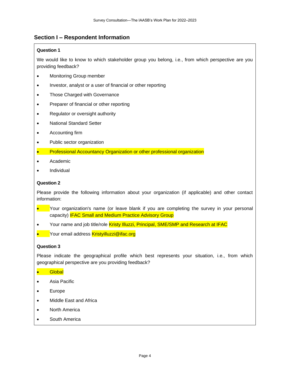# **Section I – Respondent Information**

# **Question 1**

We would like to know to which stakeholder group you belong, i.e., from which perspective are you providing feedback?

- Monitoring Group member
- Investor, analyst or a user of financial or other reporting
- Those Charged with Governance
- Preparer of financial or other reporting
- Regulator or oversight authority
- National Standard Setter
- Accounting firm
- Public sector organization
- Professional Accountancy Organization or other professional organization
- Academic
- Individual

## **Question 2**

Please provide the following information about your organization (if applicable) and other contact information:

- Your organization's name (or leave blank if you are completing the survey in your personal capacity) IFAC Small and Medium Practice Advisory Group
- Your name and job title/role Kristy Illuzzi, Principal, SME/SMP and Research at IFAC
- Your email address **Kristyilluzzi@ifac.org**

#### **Question 3**

Please indicate the geographical profile which best represents your situation, i.e., from which geographical perspective are you providing feedback?

#### • Global

- Asia Pacific
- **Europe**
- Middle East and Africa
- North America
- South America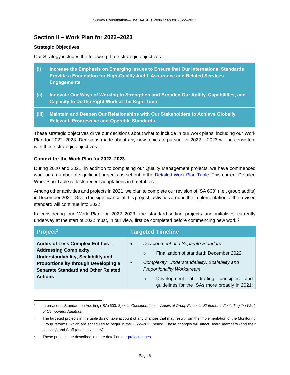# **Section II – Work Plan for 2022‒2023**

## **Strategic Objectives**

Our Strategy includes the following three strategic objectives:

- **(i) Increase the Emphasis on Emerging Issues to Ensure that Our International Standards Provide a Foundation for High-Quality Audit, Assurance and Related Services Engagements**
- **(ii) Innovate Our Ways of Working to Strengthen and Broaden Our Agility, Capabilities, and Capacity to Do the Right Work at the Right Time**
- **(iii) Maintain and Deepen Our Relationships with Our Stakeholders to Achieve Globally Relevant, Progressive and Operable Standards**

These strategic objectives drive our decisions about what to include in our work plans, including our Work Plan for 2022–2023. Decisions made about any new topics to pursue for 2022 – 2023 will be consistent with these strategic objectives.

# **Context for the Work Plan for 2022‒2023**

During 2020 and 2021, in addition to completing our Quality Management projects, we have commenced work on a number of significant projects as set out in the [Detailed Work Plan Table.](https://www.iaasb.org/publications/revised-detailed-work-plan-table-2020-2021) This current Detailed Work Plan Table reflects recent adaptations in timetables.

Among other activities and projects in 2021, we plan to complete our revision of ISA 600<sup>1</sup> (i.e., group audits) in December 2021. Given the significance of this project, activities around the implementation of the revised standard will continue into 2022.

In considering our Work Plan for 2022–2023, the standard-setting projects and initiatives currently underway at the start of 2022 must, in our view, first be completed before commencing new work: 2

| Project <sup>3</sup>                                                                                                                                                                                                    | <b>Targeted Timeline</b>                                                                                                                                                                                                                                                                                                  |
|-------------------------------------------------------------------------------------------------------------------------------------------------------------------------------------------------------------------------|---------------------------------------------------------------------------------------------------------------------------------------------------------------------------------------------------------------------------------------------------------------------------------------------------------------------------|
| <b>Audits of Less Complex Entities -</b><br><b>Addressing Complexity,</b><br>Understandability, Scalability and<br>Proportionality through Developing a<br><b>Separate Standard and Other Related</b><br><b>Actions</b> | Development of a Separate Standard<br>$\bullet$<br>Finalization of standard: December 2022.<br>$\circ$<br>Complexity, Understandability, Scalability and<br>$\bullet$<br><b>Proportionality Workstream</b><br>drafting<br>Development of<br>principles<br>and<br>$\circ$<br>guidelines for the ISAs more broadly in 2021: |

<sup>1</sup> International Standard on Auditing (ISA) 600, *Special Considerations—Audits of Group Financial Statements (Including the Work of Component Auditors)*

 $2^2$  The targeted projects in the table do not take account of any changes that may result from the implementation of the Monitoring Group reforms, which are scheduled to begin in the 2022–2023 period. These changes will affect Board members (and their capacity) and Staff (and its capacity).

<sup>&</sup>lt;sup>3</sup> These projects are described in more detail on ou[r project pages](http://www.iaasb.org/consultations-projects/work-plan).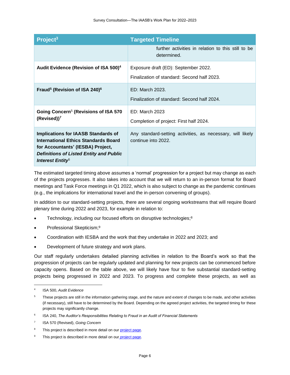| Project <sup>3</sup>                                                                                                                                                                                                    | <b>Targeted Timeline</b>                                                            |
|-------------------------------------------------------------------------------------------------------------------------------------------------------------------------------------------------------------------------|-------------------------------------------------------------------------------------|
|                                                                                                                                                                                                                         | further activities in relation to this still to be<br>determined.                   |
| Audit Evidence (Revision of ISA 500) <sup>4</sup>                                                                                                                                                                       | Exposure draft (ED): September 2022.<br>Finalization of standard: Second half 2023. |
| Fraud <sup>5</sup> (Revision of ISA 240) <sup>6</sup>                                                                                                                                                                   | ED: March 2023.<br>Finalization of standard: Second half 2024.                      |
| Going Concern <sup>5</sup> (Revisions of ISA 570<br>$(Revised))^7$                                                                                                                                                      | ED: March 2023<br>Completion of project: First half 2024.                           |
| <b>Implications for IAASB Standards of</b><br><b>International Ethics Standards Board</b><br>for Accountants' (IESBA) Project,<br><b>Definitions of Listed Entity and Public</b><br><i>Interest Entity</i> <sup>5</sup> | Any standard-setting activities, as necessary, will likely<br>continue into 2022.   |

The estimated targeted timing above assumes a 'normal' progression for a project but may change as each of the projects progresses. It also takes into account that we will return to an in-person format for Board meetings and Task Force meetings in Q1 2022, which is also subject to change as the pandemic continues (e.g., the implications for international travel and the in-person convening of groups).

In addition to our standard-setting projects, there are several ongoing workstreams that will require Board plenary time during 2022 and 2023, for example in relation to:

- Technology, including our focused efforts on disruptive technologies;<sup>8</sup>
- Professional Skepticism;<sup>9</sup>
- Coordination with IESBA and the work that they undertake in 2022 and 2023; and
- Development of future strategy and work plans.

Our staff regularly undertakes detailed planning activities in relation to the Board's work so that the progression of projects can be regularly updated and planning for new projects can be commenced before capacity opens. Based on the table above, we will likely have four to five substantial standard-setting projects being progressed in 2022 and 2023. To progress and complete these projects, as well as

<sup>4</sup> ISA 500, *Audit Evidence*

<sup>&</sup>lt;sup>5</sup> These projects are still in the information gathering stage, and the nature and extent of changes to be made, and other activities (if necessary), still have to be determined by the Board. Depending on the agreed project activities, the targeted timing for these projects may significantly change.

<sup>6</sup> ISA 240, *The Auditor's Responsibilities Relating to Fraud in an Audit of Financial Statements*

<sup>7</sup> ISA 570 (Revised), *Going Concern*

<sup>&</sup>lt;sup>8</sup> This project is described in more detail on ou[r project page.](http://www.iaasb.org/consultations-projects/work-plan)

<sup>&</sup>lt;sup>9</sup> This project is described in more detail on our [project page.](http://www.iaasb.org/consultations-projects/work-plan)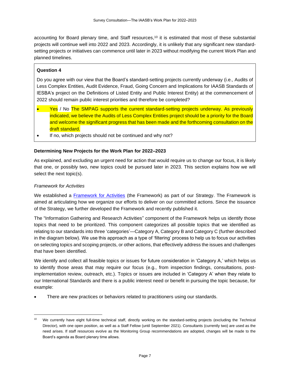accounting for Board plenary time, and Staff resources,<sup>10</sup> it is estimated that most of these substantial projects will continue well into 2022 and 2023. Accordingly, it is unlikely that any significant new standardsetting projects or initiatives can commence until later in 2023 without modifying the current Work Plan and planned timelines.

# **Question 4**

Do you agree with our view that the Board's standard-setting projects currently underway (i.e., Audits of Less Complex Entities, Audit Evidence, Fraud, Going Concern and Implications for IAASB Standards of IESBA's project on the Definitions of Listed Entity and Public Interest Entity) at the commencement of 2022 should remain public interest priorities and therefore be completed?

- Yes / No The SMPAG supports the current standard-setting projects underway. As previously indicated, we believe the Audits of Less Complex Entities project should be a priority for the Board and welcome the significant progress that has been made and the forthcoming consultation on the draft standard.
- If no, which projects should not be continued and why not?

## **Determining New Projects for the Work Plan for 2022–2023**

As explained, and excluding an urgent need for action that would require us to change our focus, it is likely that one, or possibly two, new topics could be pursued later in 2023. This section explains how we will select the next topic(s).

#### *Framework for Activities*

We established a [Framework for Activities](https://www.iaasb.org/publications/framework-activities) (the Framework) as part of our Strategy. The Framework is aimed at articulating how we organize our efforts to deliver on our committed actions. Since the issuance of the Strategy, we further developed the Framework and recently published it.

The "Information Gathering and Research Activities" component of the Framework helps us identify those topics that need to be prioritized. This component categorizes all possible topics that we identified as relating to our standards into three 'categories'—Category A, Category B and Category C (further described in the diagram below). We use this approach as a type of 'filtering' process to help us to focus our activities on selecting topics and scoping projects, or other actions, that effectively address the issues and challenges that have been identified.

We identify and collect all feasible topics or issues for future consideration in 'Category A,' which helps us to identify those areas that may require our focus (e.g., from inspection findings, consultations, postimplementation review, outreach, etc.). Topics or issues are included in 'Category A' when they relate to our International Standards and there is a public interest need or benefit in pursuing the topic because, for example:

There are new practices or behaviors related to practitioners using our standards.

<sup>&</sup>lt;sup>10</sup> We currently have eight full-time technical staff, directly working on the standard-setting projects (excluding the Technical Director), with one open position, as well as a Staff Fellow (until September 2021). Consultants (currently two) are used as the need arises. If staff resources evolve as the Monitoring Group recommendations are adopted, changes will be made to the Board's agenda as Board plenary time allows.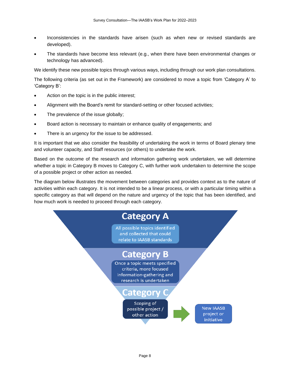- Inconsistencies in the standards have arisen (such as when new or revised standards are developed).
- The standards have become less relevant (e.g., when there have been environmental changes or technology has advanced).

We identify these new possible topics through various ways, including through our work plan consultations.

The following criteria (as set out in the Framework) are considered to move a topic from 'Category A' to 'Category B':

- Action on the topic is in the public interest;
- Alignment with the Board's remit for standard-setting or other focused activities;
- The prevalence of the issue globally;
- Board action is necessary to maintain or enhance quality of engagements; and
- There is an urgency for the issue to be addressed.

It is important that we also consider the feasibility of undertaking the work in terms of Board plenary time and volunteer capacity, and Staff resources (or others) to undertake the work.

Based on the outcome of the research and information gathering work undertaken, we will determine whether a topic in Category B moves to Category C, with further work undertaken to determine the scope of a possible project or other action as needed.

The diagram below illustrates the movement between categories and provides context as to the nature of activities within each category. It is not intended to be a linear process, or with a particular timing within a specific category as that will depend on the nature and urgency of the topic that has been identified, and how much work is needed to proceed through each category.

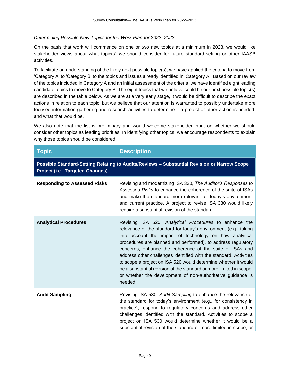# *Determining Possible New Topics for the Work Plan for 2022–2023*

On the basis that work will commence on one or two new topics at a minimum in 2023, we would like stakeholder views about what topic(s) we should consider for future standard-setting or other IAASB activities.

To facilitate an understanding of the likely next possible topic(s), we have applied the criteria to move from 'Category A' to 'Category B' to the topics and issues already identified in 'Category A.' Based on our review of the topics included in Category A and an initial assessment of the criteria, we have identified eight leading candidate topics to move to Category B. The eight topics that we believe could be our next possible topic(s) are described in the table below. As we are at a very early stage, it would be difficult to describe the exact actions in relation to each topic, but we believe that our attention is warranted to possibly undertake more focused information gathering and research activities to determine if a project or other action is needed, and what that would be.

We also note that the list is preliminary and would welcome stakeholder input on whether we should consider other topics as leading priorities. In identifying other topics, we encourage respondents to explain why those topics should be considered.

| <b>Topic</b>                                                                                                                           | <b>Description</b>                                                                                                                                                                                                                                                                                                                                                                                                                                                                                                                                                                                       |  |
|----------------------------------------------------------------------------------------------------------------------------------------|----------------------------------------------------------------------------------------------------------------------------------------------------------------------------------------------------------------------------------------------------------------------------------------------------------------------------------------------------------------------------------------------------------------------------------------------------------------------------------------------------------------------------------------------------------------------------------------------------------|--|
| Possible Standard-Setting Relating to Audits/Reviews - Substantial Revision or Narrow Scope<br><b>Project (i.e., Targeted Changes)</b> |                                                                                                                                                                                                                                                                                                                                                                                                                                                                                                                                                                                                          |  |
| <b>Responding to Assessed Risks</b>                                                                                                    | Revising and modernizing ISA 330, The Auditor's Responses to<br>Assessed Risks to enhance the coherence of the suite of ISAs<br>and make the standard more relevant for today's environment<br>and current practice. A project to revise ISA 330 would likely<br>require a substantial revision of the standard.                                                                                                                                                                                                                                                                                         |  |
| <b>Analytical Procedures</b>                                                                                                           | Revising ISA 520, Analytical Procedures to enhance the<br>relevance of the standard for today's environment (e.g., taking<br>into account the impact of technology on how analytical<br>procedures are planned and performed), to address regulatory<br>concerns, enhance the coherence of the suite of ISAs and<br>address other challenges identified with the standard. Activities<br>to scope a project on ISA 520 would determine whether it would<br>be a substantial revision of the standard or more limited in scope,<br>or whether the development of non-authoritative guidance is<br>needed. |  |
| <b>Audit Sampling</b>                                                                                                                  | Revising ISA 530, Audit Sampling to enhance the relevance of<br>the standard for today's environment (e.g., for consistency in<br>practice), respond to regulatory concerns and address other<br>challenges identified with the standard. Activities to scope a<br>project on ISA 530 would determine whether it would be a<br>substantial revision of the standard or more limited in scope, or                                                                                                                                                                                                         |  |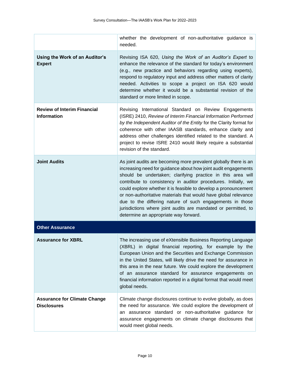|                                                           | whether the development of non-authoritative guidance is<br>needed.                                                                                                                                                                                                                                                                                                                                                                                                                                                                                                              |
|-----------------------------------------------------------|----------------------------------------------------------------------------------------------------------------------------------------------------------------------------------------------------------------------------------------------------------------------------------------------------------------------------------------------------------------------------------------------------------------------------------------------------------------------------------------------------------------------------------------------------------------------------------|
| Using the Work of an Auditor's<br><b>Expert</b>           | Revising ISA 620, Using the Work of an Auditor's Expert to<br>enhance the relevance of the standard for today's environment<br>(e.g., new practice and behaviors regarding using experts),<br>respond to regulatory input and address other matters of clarity<br>needed. Activities to scope a project on ISA 620 would<br>determine whether it would be a substantial revision of the<br>standard or more limited in scope.                                                                                                                                                    |
| <b>Review of Interim Financial</b><br><b>Information</b>  | Revising International Standard on Review Engagements<br>(ISRE) 2410, Review of Interim Financial Information Performed<br>by the Independent Auditor of the Entity for the Clarity format for<br>coherence with other IAASB standards, enhance clarity and<br>address other challenges identified related to the standard. A<br>project to revise ISRE 2410 would likely require a substantial<br>revision of the standard.                                                                                                                                                     |
| <b>Joint Audits</b>                                       | As joint audits are becoming more prevalent globally there is an<br>increasing need for guidance about how joint audit engagements<br>should be undertaken; clarifying practice in this area will<br>contribute to consistency in auditor procedures. Initially, we<br>could explore whether it is feasible to develop a pronouncement<br>or non-authoritative materials that would have global relevance<br>due to the differing nature of such engagements in those<br>jurisdictions where joint audits are mandated or permitted, to<br>determine an appropriate way forward. |
| <b>Other Assurance</b>                                    |                                                                                                                                                                                                                                                                                                                                                                                                                                                                                                                                                                                  |
| <b>Assurance for XBRL</b>                                 | The increasing use of eXtensible Business Reporting Language<br>(XBRL) in digital financial reporting, for example by the<br>European Union and the Securities and Exchange Commission<br>in the United States, will likely drive the need for assurance in<br>this area in the near future. We could explore the development<br>of an assurance standard for assurance engagements on<br>financial information reported in a digital format that would meet<br>global needs.                                                                                                    |
| <b>Assurance for Climate Change</b><br><b>Disclosures</b> | Climate change disclosures continue to evolve globally, as does<br>the need for assurance. We could explore the development of<br>an assurance standard or non-authoritative guidance for<br>assurance engagements on climate change disclosures that<br>would meet global needs.                                                                                                                                                                                                                                                                                                |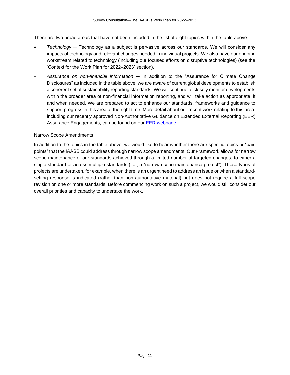There are two broad areas that have not been included in the list of eight topics within the table above:

- *Technology* ─ Technology as a subject is pervasive across our standards. We will consider any impacts of technology and relevant changes needed in individual projects. We also have our ongoing workstream related to technology (including our focused efforts on disruptive technologies) (see the 'Context for the Work Plan for 2022-2023' section).
- *Assurance on non-financial information* ─ In addition to the "Assurance for Climate Change Disclosures" as included in the table above, we are aware of current global developments to establish a coherent set of sustainability reporting standards. We will continue to closely monitor developments within the broader area of non-financial information reporting, and will take action as appropriate, if and when needed. We are prepared to act to enhance our standards, frameworks and guidance to support progress in this area at the right time. More detail about our recent work relating to this area, including our recently approved Non-Authoritative Guidance on Extended External Reporting (EER) Assurance Engagements, can be found on our [EER webpage.](https://www.iaasb.org/focus-areas/extended-external-reporting)

#### Narrow Scope Amendments

In addition to the topics in the table above, we would like to hear whether there are specific topics or "pain points" that the IAASB could address through narrow scope amendments. Our Framework allows for narrow scope maintenance of our standards achieved through a limited number of targeted changes, to either a single standard or across multiple standards (i.e., a "narrow scope maintenance project"). These types of projects are undertaken, for example, when there is an urgent need to address an issue or when a standardsetting response is indicated (rather than non-authoritative material) but does not require a full scope revision on one or more standards. Before commencing work on such a project, we would still consider our overall priorities and capacity to undertake the work.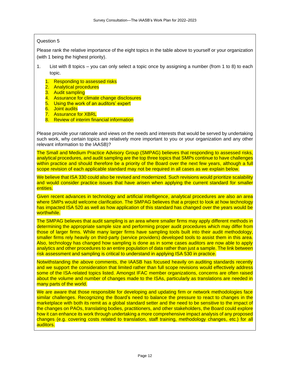### Question 5

Please rank the relative importance of the eight topics in the table above to yourself or your organization (with 1 being the highest priority).

- 1. List with 8 topics you can only select a topic once by assigning a number (from 1 to 8) to each topic.
	- 1. Responding to assessed risks
	- 2. Analytical procedures
	- 3. Audit sampling
	- 4. Assurance for climate change disclosures
	- 5. Using the work of an auditors' expert
	- 6. Joint audits
	- 7. Assurance for XBRL
	- 8. Review of interim financial information

Please provide your rationale and views on the needs and interests that would be served by undertaking such work, why certain topics are relatively more important to you or your organization and any other relevant information to the IAASB)?

The Small and Medium Practice Advisory Group (SMPAG) believes that responding to assessed risks, analytical procedures, and audit sampling are the top three topics that SMPs continue to have challenges within practice and should therefore be a priority of the Board over the next few years, although a full scope revision of each applicable standard may not be required in all cases as we explain below.

We believe that ISA 330 could also be revised and modernized. Such revisions would prioritize scalability and would consider practice issues that have arisen when applying the current standard for smaller entities.

Given recent advances in technology and artificial intelligence, analytical procedures are also an area where SMPs would welcome clarification. The SMPAG believes that a project to look at how technology has impacted ISA 520 as well as how application of this standard has changed over the years would be worthwhile.

The SMPAG believes that audit sampling is an area where smaller firms may apply different methods in determining the appropriate sample size and performing proper audit procedures which may differ from those of larger firms. While many larger firms have sampling tools built into their audit methodology, smaller firms rely heavily on third-party (service providers) developed tools to assist them in this area. Also, technology has changed how sampling is done as in some cases auditors are now able to apply analytics and other procedures to an entire population of data rather than just a sample. The link between risk assessment and sampling is critical to understand in applying ISA 530 in practice.

Notwithstanding the above comments, the IAASB has focused heavily on auditing standards recently and we support the consideration that limited rather than full scope revisions would effectively address some of the ISA-related topics listed. Amongst IFAC member organizations, concerns are often raised about the volume and number of changes made to the ISAs, particularly as translations are needed in many parts of the world.

We are aware that those responsible for developing and updating firm or network methodologies face similar challenges. Recognizing the Board's need to balance the pressure to react to changes in the marketplace with both its remit as a global standard setter and the need to be sensitive to the impact of the changes on PAOs, translating bodies, practitioners, and other stakeholders, the Board could explore how it can enhance its work through undertaking a more comprehensive impact analysis of any proposed changes (e.g. covering costs related to translation, staff training, methodology changes, etc.) for all auditors.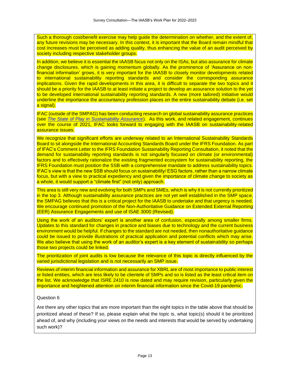Such a thorough cost/benefit exercise may help guide the determination on whether, and the extent of, any future revisions may be necessary. In this context, it is important that the Board remain mindful that cost increases must be perceived as adding quality, thus enhancing the value of an audit perceived by society including respective stakeholder groups.

In addition, we believe it is essential the IAASB focus not only on the ISAs, but also assurance for climate change disclosures, which is gaining momentum globally. As the prominence of 'Assurance on nonfinancial information' grows, it is very important for the IAASB to closely monitor developments related to international sustainability reporting standards and consider the corresponding assurance implications. Given the rapid developments in this area, it is difficult to separate the two topics and it should be a priority for the IAASB to at least initiate a project to develop an assurance solution to the yet to be developed international sustainability reporting standards. A new (more tailored) initiative would underline the importance the accountancy profession places on the entire sustainability debate (i.e. set a signal).

IFAC (outside of the SMPAG) has been conducting research on global sustainability assurance practices (see *[The State of Play in Sustainability Assurance](https://www.ifac.org/knowledge-gateway/contributing-global-economy/discussion/state-play-sustainability-assurance?utm_source=Unknown+List&utm_campaign=5d7bd16686-EMAIL_CAMPAIGN_2021_06_22_09_34&utm_medium=email&utm_term=0_-5d7bd16686-)*). As this work, and related engagement, continues over the course of 2021, IFAC looks forward to engaging with the IAASB on sustainability-related assurance issues.

We recognize that significant efforts are underway related to an International Sustainability Standards Board to sit alongside the International Accounting Standards Board under the IFRS Foundation. As part of IFAC'[s Comment Letter](https://www.ifac.org/knowledge-gateway/contributing-global-economy/publications/ifac-comment-letter-ifrs-foundation-sustainability-reporting-consultation) to the IFRS Foundation Sustainability Reporting Consultation, it noted that the demand for sustainability reporting standards is not singularly focused on climate (or environmental) factors and to effectively rationalize the existing fragmented ecosystem for sustainability reporting, the IFRS Foundation must position the SSB with a comprehensive mandate to address sustainability topics. IFAC's view is that the new SSB should focus on sustainability/ ESG factors, rather than a narrow climate focus, but with a view to practical expediency and given the importance of climate change to society as a whole, it would support a "climate first" (not only) approach.

This area is still very new and evolving for both SMPs and SMEs, which is why it is not currently prioritized in the top 3. Although sustainability assurance practices are not yet well established in the SMP space, the SMPAG believes that this is a critical project for the IAASB to undertake and that urgency is needed. We encourage continued promotion of the Non-Authoritative Guidance on Extended External Reporting (EER) Assurance Engagements and use of ISAE 3000 (Revised).

Using the work of an auditors' expert is another area of confusion, especially among smaller firms. Updates to this standard for changes in practice and biases due to technology and the current business environment would be helpful. If changes to the standard are not needed, then nonauthoritative guidance could be issued to provide illustrations of practical application and potential conflicts which may arise. We also believe that using the work of an auditor's expert is a key element of sustainability so perhaps those two projects could be linked.

The prioritization of joint audits is low because the relevance of this topic is directly influenced by the varied jurisdictional legislation and is not necessarily an SMP issue.

Reviews of interim financial information and assurance for XBRL are of most importance to public interest or listed entities, which are less likely to be clientele of SMPs and so is listed as the least critical item on the list. We acknowledge that ISRE 2410 is now dated and may require revision, particularly given the importance and heightened attention on interim financial information since the Covid-19 pandemic.

#### Question 6

Are there any other topics that are more important than the eight topics in the table above that should be prioritized ahead of these? If so, please explain what the topic is, what topic(s) should it be prioritized ahead of, and why (including your views on the needs and interests that would be served by undertaking such work)?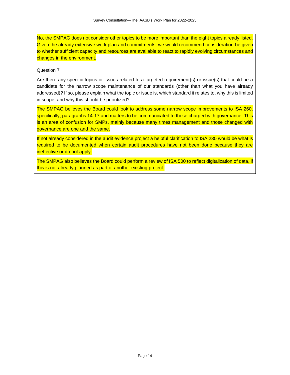No, the SMPAG does not consider other topics to be more important than the eight topics already listed. Given the already extensive work plan and commitments, we would recommend consideration be given to whether sufficient capacity and resources are available to react to rapidly evolving circumstances and changes in the environment.

#### Question 7

Are there any specific topics or issues related to a targeted requirement(s) or issue(s) that could be a candidate for the narrow scope maintenance of our standards (other than what you have already addressed)? If so, please explain what the topic or issue is, which standard it relates to, why this is limited in scope, and why this should be prioritized?

The SMPAG believes the Board could look to address some narrow scope improvements to ISA 260, specifically, paragraphs 14-17 and matters to be communicated to those charged with governance. This is an area of confusion for SMPs, mainly because many times management and those changed with governance are one and the same.

If not already considered in the audit evidence project a helpful clarification to ISA 230 would be what is required to be documented when certain audit procedures have not been done because they are ineffective or do not apply.

The SMPAG also believes the Board could perform a review of ISA 500 to reflect digitalization of data, if this is not already planned as part of another existing project.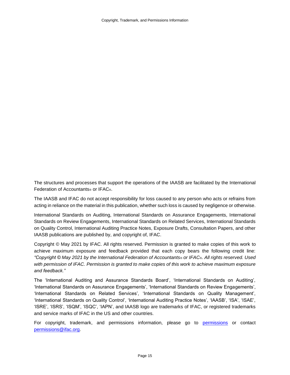The structures and processes that support the operations of the IAASB are facilitated by the International Federation of Accountants® or IFAC®.

The IAASB and IFAC do not accept responsibility for loss caused to any person who acts or refrains from acting in reliance on the material in this publication, whether such loss is caused by negligence or otherwise.

International Standards on Auditing, International Standards on Assurance Engagements, International Standards on Review Engagements, International Standards on Related Services, International Standards on Quality Control, International Auditing Practice Notes, Exposure Drafts, Consultation Papers, and other IAASB publications are published by, and copyright of, IFAC.

Copyright © May 2021 by IFAC. All rights reserved. Permission is granted to make copies of this work to achieve maximum exposure and feedback provided that each copy bears the following credit line: *"Copyright © May 2021 by the International Federation of Accountants*® *or IFAC*®*. All rights reserved. Used with permission of IFAC. Permission is granted to make copies of this work to achieve maximum exposure and feedback."*

The 'International Auditing and Assurance Standards Board', 'International Standards on Auditing', 'International Standards on Assurance Engagements', 'International Standards on Review Engagements', 'International Standards on Related Services', 'International Standards on Quality Management', 'International Standards on Quality Control', 'International Auditing Practice Notes', 'IAASB', 'ISA', 'ISAE', 'ISRE', 'ISRS', 'ISQM', 'ISQC', 'IAPN', and IAASB logo are trademarks of IFAC, or registered trademarks and service marks of IFAC in the US and other countries.

For copyright, trademark, and [permissions](http://www.ifac.org/about-ifac/translations-permissions) information, please go to permissions or contact [permissions@ifac.org.](mailto:permissions@ifac.org)